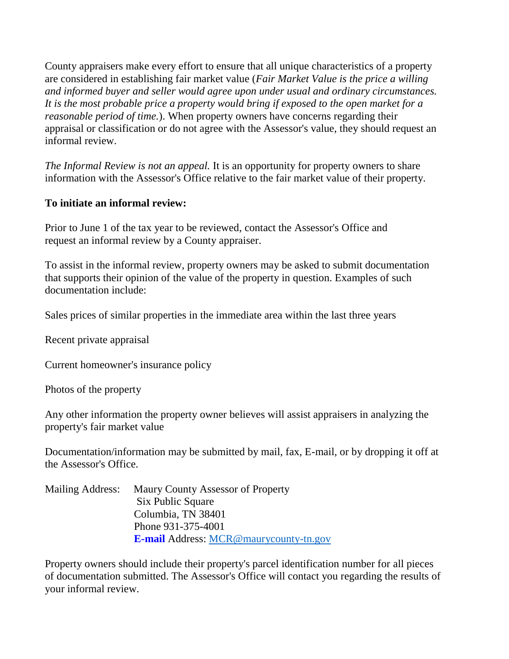County appraisers make every effort to ensure that all unique characteristics of a property are considered in establishing fair market value (*Fair Market Value is the price a willing and informed buyer and seller would agree upon under usual and ordinary circumstances. It is the most probable price a property would bring if exposed to the open market for a reasonable period of time.*). When property owners have concerns regarding their appraisal or classification or do not agree with the Assessor's value, they should request an informal review.

*The Informal Review is not an appeal.* It is an opportunity for property owners to share information with the Assessor's Office relative to the fair market value of their property.

## **To initiate an informal review:**

Prior to June 1 of the tax year to be reviewed, contact the Assessor's Office and request an informal review by a County appraiser.

To assist in the informal review, property owners may be asked to submit documentation that supports their opinion of the value of the property in question. Examples of such documentation include:

Sales prices of similar properties in the immediate area within the last three years

Recent private appraisal

Current homeowner's insurance policy

Photos of the property

Any other information the property owner believes will assist appraisers in analyzing the property's fair market value

Documentation/information may be submitted by mail, fax, E-mail, or by dropping it off at the Assessor's Office.

| Mailing Address: | Maury County Assessor of Property             |
|------------------|-----------------------------------------------|
|                  | Six Public Square                             |
|                  | Columbia, TN 38401                            |
|                  | Phone 931-375-4001                            |
|                  | <b>E-mail Address: MCR@maurycounty-tn.gov</b> |

Property owners should include their property's parcel identification number for all pieces of documentation submitted. The Assessor's Office will contact you regarding the results of your informal review.